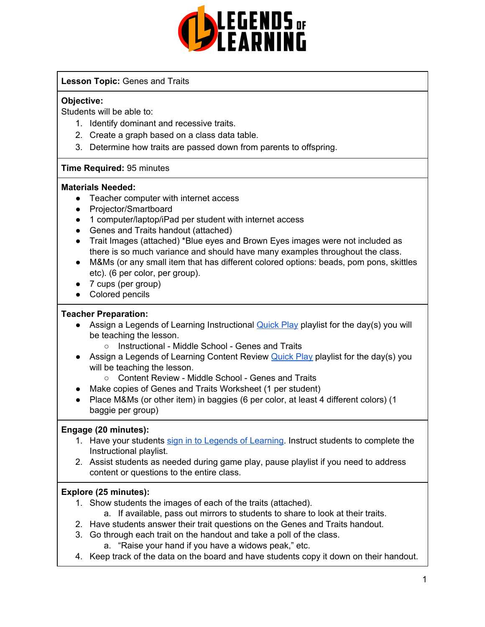

#### **Lesson Topic:** Genes and Traits

#### **Objective:**

Students will be able to:

- 1. Identify dominant and recessive traits.
- 2. Create a graph based on a class data table.
- 3. Determine how traits are passed down from parents to offspring.

#### **Time Required:** 95 minutes

#### **Materials Needed:**

- Teacher computer with internet access
- Projector/Smartboard
- 1 computer/laptop/iPad per student with internet access
- Genes and Traits handout (attached)
- Trait Images (attached) \*Blue eyes and Brown Eyes images were not included as there is so much variance and should have many examples throughout the class.
- M&Ms (or any small item that has different colored options: beads, pom pons, skittles etc). (6 per color, per group).
- 7 cups (per group)
- Colored pencils

#### **Teacher Preparation:**

- Assign a Legends of Learning Instructional **[Quick](https://intercom.help/legends-of-learning/en/articles/2701866-assigning-a-quick-play-playlist) Play playlist for the day(s)** you will be teaching the lesson.
	- Instructional Middle School Genes and Traits
- Assign a Legends of Learning Content Review **[Quick](https://intercom.help/legends-of-learning/en/articles/2701866-assigning-a-quick-play-playlist) Play playlist for the day(s) you** will be teaching the lesson.
	- Content Review Middle School Genes and Traits
- Make copies of Genes and Traits Worksheet (1 per student)
- Place M&Ms (or other item) in baggies (6 per color, at least 4 different colors) (1 baggie per group)

#### **Engage (20 minutes):**

- 1. Have your students sign in to Legends of [Learning](https://intercom.help/legends-of-learning/en/articles/2154920-students-joining-a-playlist). Instruct students to complete the Instructional playlist.
- 2. Assist students as needed during game play, pause playlist if you need to address content or questions to the entire class.

#### **Explore (25 minutes):**

- 1. Show students the images of each of the traits (attached).
	- a. If available, pass out mirrors to students to share to look at their traits.
- 2. Have students answer their trait questions on the Genes and Traits handout.
- 3. Go through each trait on the handout and take a poll of the class.
	- a. "Raise your hand if you have a widows peak," etc.
- 4. Keep track of the data on the board and have students copy it down on their handout.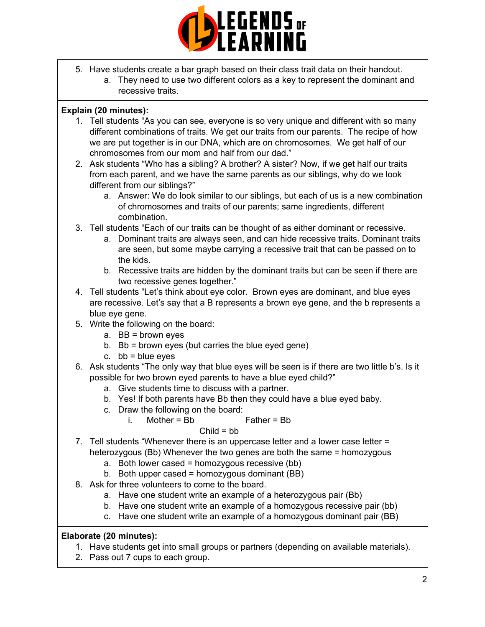

- 5. Have students create a bar graph based on their class trait data on their handout.
	- a. They need to use two different colors as a key to represent the dominant and recessive traits.

#### **Explain (20 minutes):**

- 1. Tell students "As you can see, everyone is so very unique and different with so many different combinations of traits. We get our traits from our parents. The recipe of how we are put together is in our DNA, which are on chromosomes. We get half of our chromosomes from our mom and half from our dad."
- 2. Ask students "Who has a sibling? A brother? A sister? Now, if we get half our traits from each parent, and we have the same parents as our siblings, why do we look different from our siblings?"
	- a. Answer: We do look similar to our siblings, but each of us is a new combination of chromosomes and traits of our parents; same ingredients, different combination.
- 3. Tell students "Each of our traits can be thought of as either dominant or recessive.
	- a. Dominant traits are always seen, and can hide recessive traits. Dominant traits are seen, but some maybe carrying a recessive trait that can be passed on to the kids.
	- b. Recessive traits are hidden by the dominant traits but can be seen if there are two recessive genes together."
- 4. Tell students "Let's think about eye color. Brown eyes are dominant, and blue eyes are recessive. Let's say that a B represents a brown eye gene, and the b represents a blue eye gene.
- 5. Write the following on the board:
	- a. BB = brown eyes
	- b. Bb = brown eyes (but carries the blue eyed gene)
	- c.  $bb = blue$  eyes
- 6. Ask students "The only way that blue eyes will be seen is if there are two little b's. Is it possible for two brown eyed parents to have a blue eyed child?"
	- a. Give students time to discuss with a partner.
	- b. Yes! If both parents have Bb then they could have a blue eyed baby.
	- c. Draw the following on the board:

i. Mother = Bb Father = Bb

$$
Child = bb
$$

- 7. Tell students "Whenever there is an uppercase letter and a lower case letter = heterozygous (Bb) Whenever the two genes are both the same = homozygous
	- a. Both lower cased = homozygous recessive  $(bb)$
	- b. Both upper cased = homozygous dominant  $(BB)$
- 8. Ask for three volunteers to come to the board.
	- a. Have one student write an example of a heterozygous pair (Bb)
	- b. Have one student write an example of a homozygous recessive pair (bb)
	- c. Have one student write an example of a homozygous dominant pair (BB)

### **Elaborate (20 minutes):**

- 1. Have students get into small groups or partners (depending on available materials).
- 2. Pass out 7 cups to each group.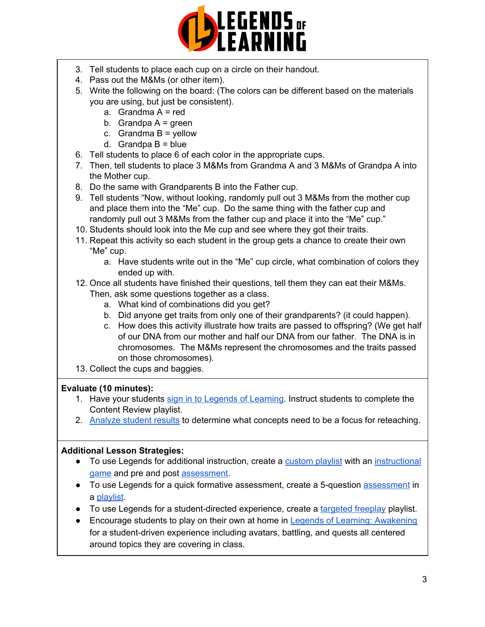

- 3. Tell students to place each cup on a circle on their handout.
- 4. Pass out the M&Ms (or other item).
- 5. Write the following on the board: (The colors can be different based on the materials you are using, but just be consistent).
	- a. Grandma  $A = red$
	- b. Grandpa  $A =$  green
	- c. Grandma  $B =$  yellow
	- d. Grandpa  $B = blue$
- 6. Tell students to place 6 of each color in the appropriate cups.
- 7. Then, tell students to place 3 M&Ms from Grandma A and 3 M&Ms of Grandpa A into the Mother cup.
- 8. Do the same with Grandparents B into the Father cup.
- 9. Tell students "Now, without looking, randomly pull out 3 M&Ms from the mother cup and place them into the "Me" cup. Do the same thing with the father cup and randomly pull out 3 M&Ms from the father cup and place it into the "Me" cup."
- 10. Students should look into the Me cup and see where they got their traits.
- 11. Repeat this activity so each student in the group gets a chance to create their own "Me" cup.
	- a. Have students write out in the "Me" cup circle, what combination of colors they ended up with.
- 12. Once all students have finished their questions, tell them they can eat their M&Ms. Then, ask some questions together as a class.
	- a. What kind of combinations did you get?
	- b. Did anyone get traits from only one of their grandparents? (it could happen).
	- c. How does this activity illustrate how traits are passed to offspring? (We get half of our DNA from our mother and half our DNA from our father. The DNA is in chromosomes. The M&Ms represent the chromosomes and the traits passed on those chromosomes).
- 13. Collect the cups and baggies.

### **Evaluate (10 minutes):**

- 1. Have your students sign in to Legends of [Learning](https://intercom.help/legends-of-learning/en/articles/2154920-students-joining-a-playlist). Instruct students to complete the Content Review playlist.
- 2. [Analyze](https://intercom.help/legends-of-learning/en/articles/2154918-tracking-student-progress-and-performance) student results to determine what concepts need to be a focus for reteaching.

#### **Additional Lesson Strategies:**

- To use Legends for additional instruction, create a [custom](https://intercom.help/legends-of-learning/en/articles/2154910-creating-a-playlist) playlist with an [instructional](https://intercom.help/legends-of-learning/en/articles/3505828-types-of-games) [game](https://intercom.help/legends-of-learning/en/articles/3505828-types-of-games) and pre and post [assessment](https://intercom.help/legends-of-learning/en/articles/2154913-adding-assessments-to-a-playlist).
- To use Legends for a quick formative [assessment](https://intercom.help/legends-of-learning/en/articles/2154913-adding-assessments-to-a-playlist), create a 5-question assessment in a [playlist](https://intercom.help/legends-of-learning/en/articles/2154910-creating-a-playlist).
- To use Legends for a student-directed experience, create a [targeted](https://intercom.help/legends-of-learning/en/articles/3340814-targeted-freeplay) freeplay playlist.
- Encourage students to play on their own at home in Legends of Learning: [Awakening](https://intercom.help/legends-of-learning/en/articles/2425490-legends-of-learning-awakening) for a student-driven experience including avatars, battling, and quests all centered around topics they are covering in class.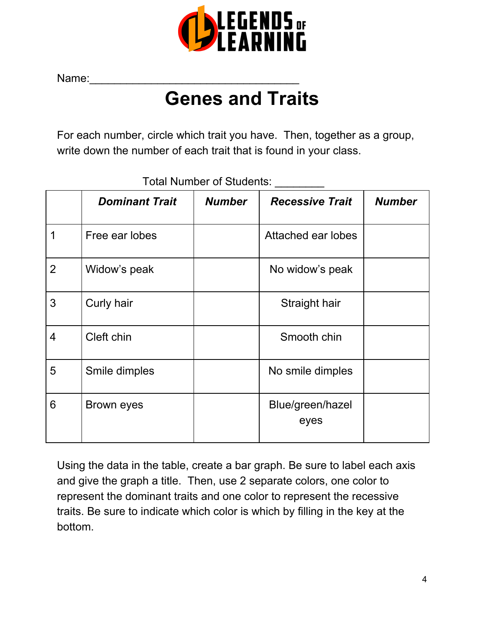

Name:

# **Genes and Traits**

For each number, circle which trait you have. Then, together as a group, write down the number of each trait that is found in your class.

|                | <b>Dominant Trait</b> | <b>Number</b> | <b>Recessive Trait</b>   | <b>Number</b> |
|----------------|-----------------------|---------------|--------------------------|---------------|
| 1              | Free ear lobes        |               | Attached ear lobes       |               |
| $\overline{2}$ | Widow's peak          |               | No widow's peak          |               |
| 3              | Curly hair            |               | Straight hair            |               |
| 4              | Cleft chin            |               | Smooth chin              |               |
| 5              | Smile dimples         |               | No smile dimples         |               |
| 6              | Brown eyes            |               | Blue/green/hazel<br>eyes |               |

Total Number of Students: \_\_\_\_\_\_\_\_

Using the data in the table, create a bar graph. Be sure to label each axis and give the graph a title. Then, use 2 separate colors, one color to represent the dominant traits and one color to represent the recessive traits. Be sure to indicate which color is which by filling in the key at the bottom.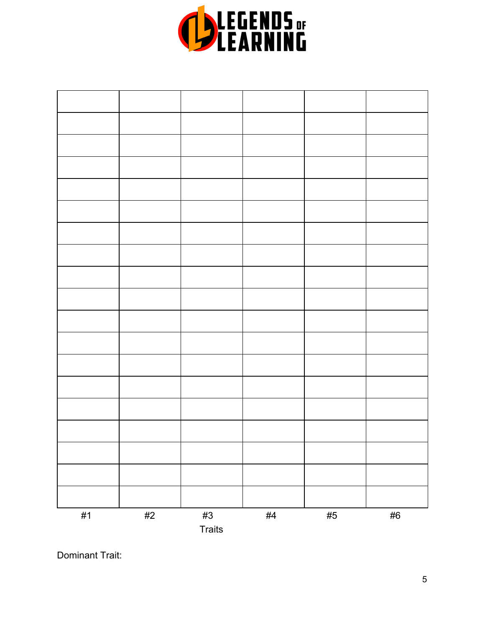

|       |       | <b>Traits</b> |       |       |       |
|-------|-------|---------------|-------|-------|-------|
| $\#1$ | $\#2$ | $\#3$         | $\#4$ | $\#5$ | $\#6$ |
|       |       |               |       |       |       |
|       |       |               |       |       |       |
|       |       |               |       |       |       |
|       |       |               |       |       |       |
|       |       |               |       |       |       |
|       |       |               |       |       |       |
|       |       |               |       |       |       |
|       |       |               |       |       |       |
|       |       |               |       |       |       |
|       |       |               |       |       |       |
|       |       |               |       |       |       |
|       |       |               |       |       |       |
|       |       |               |       |       |       |
|       |       |               |       |       |       |
|       |       |               |       |       |       |
|       |       |               |       |       |       |
|       |       |               |       |       |       |
|       |       |               |       |       |       |
|       |       |               |       |       |       |
|       |       |               |       |       |       |
|       |       |               |       |       |       |
|       |       |               |       |       |       |
|       |       |               |       |       |       |
|       |       |               |       |       |       |
|       |       |               |       |       |       |

Dominant Trait: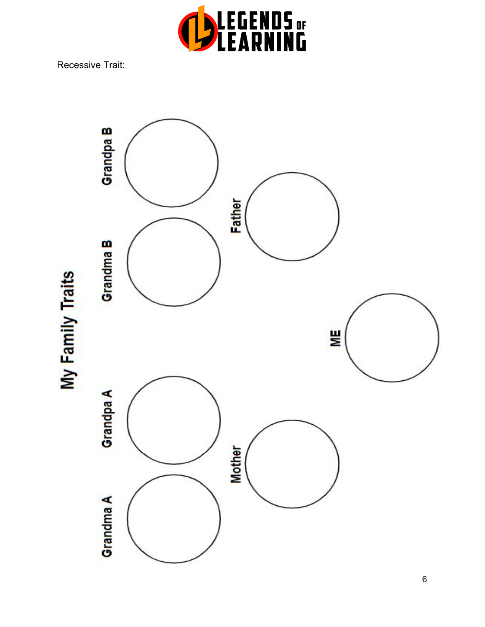

Recessive Trait:



6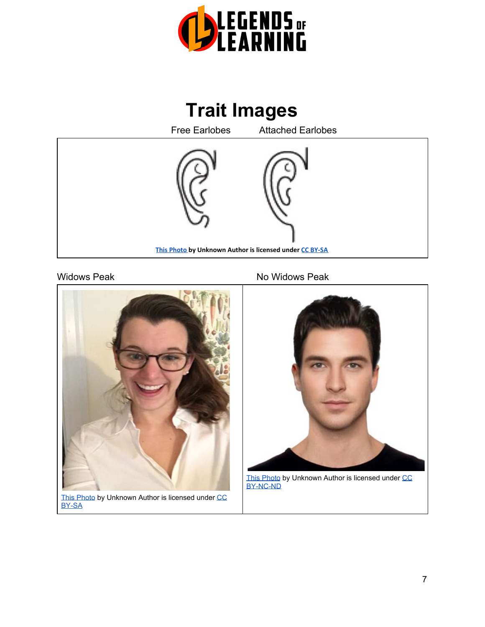





[This Photo](https://en.wikipedia.org/wiki/Widow%27s_peak) by Unknown Author is licensed under [CC](https://creativecommons.org/licenses/by-sa/3.0/) [BY-SA](https://creativecommons.org/licenses/by-sa/3.0/)

#### Widows Peak No Widows Peak



[This Photo](https://www.flickr.com/photos/taylorherringpr/16976740485) by Unknown Author is licensed under [CC](https://creativecommons.org/licenses/by-nc-nd/3.0/) [BY-NC-ND](https://creativecommons.org/licenses/by-nc-nd/3.0/)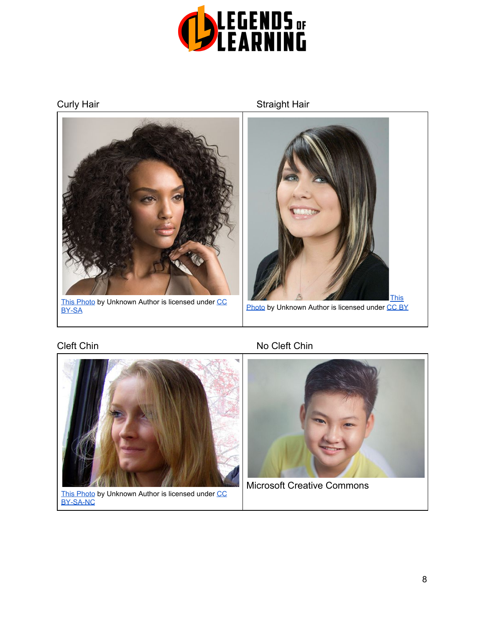





[This Photo](https://www.flickr.com/photos/ifl/4115360755) by Unknown Author is licensed under [CC](https://creativecommons.org/licenses/by-nc-sa/3.0/) [BY-SA-NC](https://creativecommons.org/licenses/by-nc-sa/3.0/)

## Cleft Chin No Cleft Chin



Microsoft Creative Commons

# Curly Hair **Straight Hair** Straight Hair